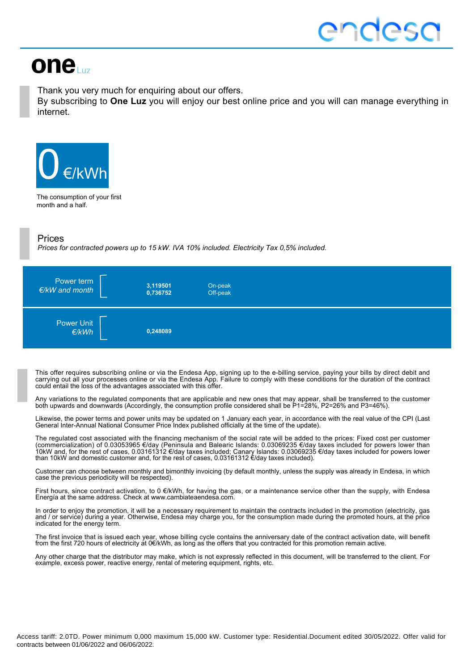# one

Thank you very much for enquiring about our offers.

By subscribing to **One Luz** you will enjoy our best online price and you will can manage everything in internet.



The consumption of your first month and a half.

#### Prices

*Prices for contracted powers up to 15 kW. IVA 10% included. Electricity Tax 0,5% included.*



This offer requires subscribing online or via the Endesa App, signing up to the e-billing service, paying your bills by direct debit and carrying out all your processes online or via the Endesa App. Failure to comply with these conditions for the duration of the contract could entail the loss of the advantages associated with this offer.

Any variations to the regulated components that are applicable and new ones that may appear, shall be transferred to the customer both upwards and downwards (Accordingly, the consumption profile considered shall be P1=28%, P2=26% and P3=46%).

Likewise, the power terms and power units may be updated on 1 January each year, in accordance with the real value of the CPI (Last General Inter-Annual National Consumer Price Index published officially at the time of the update).

The regulated cost associated with the financing mechanism of the social rate will be added to the prices: Fixed cost per customer (commercialization) of 0.03053965 €/day (Peninsula and Balearic Islands: 0.03069235 €/day taxes included for powers lower than 10kW and, for the rest of cases, 0.03161312 €/day taxes included; Canary Islands: 0.03069235 €/day taxes included for powers lower than 10kW and domestic customer and, for the rest of cases, 0.03161312 €/day taxes included).

Customer can choose between monthly and bimonthly invoicing (by default monthly, unless the supply was already in Endesa, in which case the previous periodicity will be respected).

First hours, since contract activation, to 0 €/kWh, for having the gas, or a maintenance service other than the supply, with Endesa Energía at the same address. Check at www.cambiateaendesa.com.

In order to enjoy the promotion, it will be a necessary requirement to maintain the contracts included in the promotion (electricity, gas and / or service) during a year. Otherwise, Endesa may charge you, for the consumption made during the promoted hours, at the price indicated for the energy term.

The first invoice that is issued each year, whose billing cycle contains the anniversary date of the contract activation date, will benefit from the first 720 hours of electricity at 0€/kWh, as long as the offers that you contracted for this promotion remain active.

Any other charge that the distributor may make, which is not expressly reflected in this document, will be transferred to the client. For example, excess power, reactive energy, rental of metering equipment, rights, etc.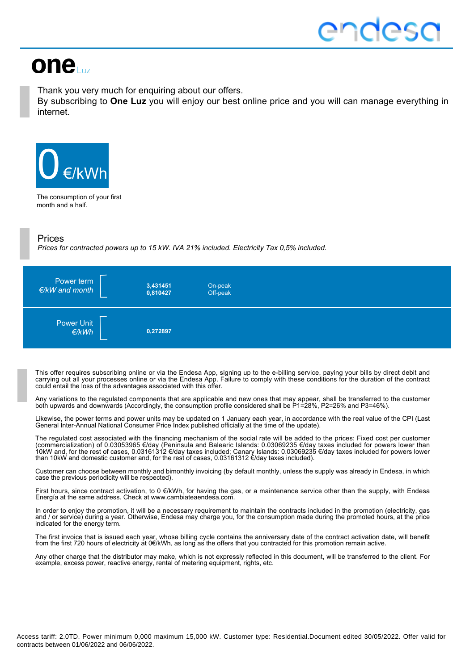# one

Thank you very much for enquiring about our offers.

By subscribing to **One Luz** you will enjoy our best online price and you will can manage everything in internet.



The consumption of your first month and a half.

#### Prices

*Prices for contracted powers up to 15 kW. IVA 21% included. Electricity Tax 0,5% included.*



This offer requires subscribing online or via the Endesa App, signing up to the e-billing service, paying your bills by direct debit and carrying out all your processes online or via the Endesa App. Failure to comply with these conditions for the duration of the contract could entail the loss of the advantages associated with this offer.

Any variations to the regulated components that are applicable and new ones that may appear, shall be transferred to the customer both upwards and downwards (Accordingly, the consumption profile considered shall be P1=28%, P2=26% and P3=46%).

Likewise, the power terms and power units may be updated on 1 January each year, in accordance with the real value of the CPI (Last General Inter-Annual National Consumer Price Index published officially at the time of the update).

The regulated cost associated with the financing mechanism of the social rate will be added to the prices: Fixed cost per customer (commercialization) of 0.03053965 €/day (Peninsula and Balearic Islands: 0.03069235 €/day taxes included for powers lower than 10kW and, for the rest of cases, 0.03161312 €/day taxes included; Canary Islands: 0.03069235 €/day taxes included for powers lower than 10kW and domestic customer and, for the rest of cases, 0.03161312 €/day taxes included).

Customer can choose between monthly and bimonthly invoicing (by default monthly, unless the supply was already in Endesa, in which case the previous periodicity will be respected).

First hours, since contract activation, to 0 €/kWh, for having the gas, or a maintenance service other than the supply, with Endesa Energía at the same address. Check at www.cambiateaendesa.com.

In order to enjoy the promotion, it will be a necessary requirement to maintain the contracts included in the promotion (electricity, gas and / or service) during a year. Otherwise, Endesa may charge you, for the consumption made during the promoted hours, at the price indicated for the energy term.

The first invoice that is issued each year, whose billing cycle contains the anniversary date of the contract activation date, will benefit from the first 720 hours of electricity at 0€/kWh, as long as the offers that you contracted for this promotion remain active.

Any other charge that the distributor may make, which is not expressly reflected in this document, will be transferred to the client. For example, excess power, reactive energy, rental of metering equipment, rights, etc.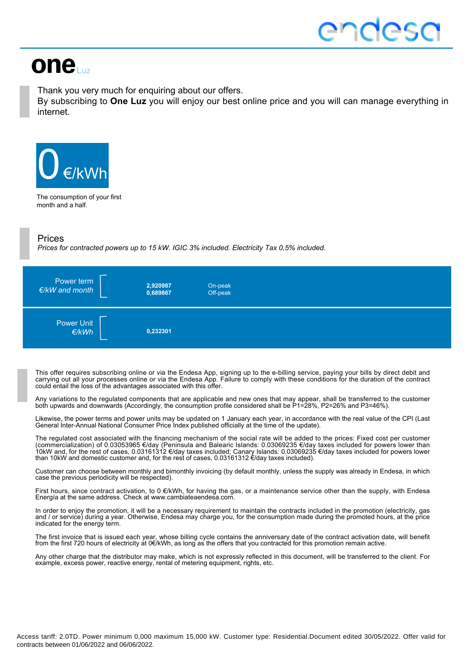# one

Thank you very much for enquiring about our offers.

By subscribing to **One Luz** you will enjoy our best online price and you will can manage everything in internet.



The consumption of your first month and a half.

#### Prices

*Prices for contracted powers up to 15 kW. IGIC 3% included. Electricity Tax 0,5% included.*



This offer requires subscribing online or via the Endesa App, signing up to the e-billing service, paying your bills by direct debit and carrying out all your processes online or via the Endesa App. Failure to comply with these conditions for the duration of the contract could entail the loss of the advantages associated with this offer.

Any variations to the regulated components that are applicable and new ones that may appear, shall be transferred to the customer both upwards and downwards (Accordingly, the consumption profile considered shall be P1=28%, P2=26% and P3=46%).

Likewise, the power terms and power units may be updated on 1 January each year, in accordance with the real value of the CPI (Last General Inter-Annual National Consumer Price Index published officially at the time of the update).

The regulated cost associated with the financing mechanism of the social rate will be added to the prices: Fixed cost per customer (commercialization) of 0.03053965 €/day (Peninsula and Balearic Islands: 0.03069235 €/day taxes included for powers lower than 10kW and, for the rest of cases, 0.03161312 €/day taxes included; Canary Islands: 0.03069235 €/day taxes included for powers lower than 10kW and domestic customer and, for the rest of cases, 0.03161312 €/day taxes included).

Customer can choose between monthly and bimonthly invoicing (by default monthly, unless the supply was already in Endesa, in which case the previous periodicity will be respected).

First hours, since contract activation, to 0 €/kWh, for having the gas, or a maintenance service other than the supply, with Endesa Energía at the same address. Check at www.cambiateaendesa.com.

In order to enjoy the promotion, it will be a necessary requirement to maintain the contracts included in the promotion (electricity, gas and / or service) during a year. Otherwise, Endesa may charge you, for the consumption made during the promoted hours, at the price indicated for the energy term.

The first invoice that is issued each year, whose billing cycle contains the anniversary date of the contract activation date, will benefit from the first 720 hours of electricity at 0€/kWh, as long as the offers that you contracted for this promotion remain active.

Any other charge that the distributor may make, which is not expressly reflected in this document, will be transferred to the client. For example, excess power, reactive energy, rental of metering equipment, rights, etc.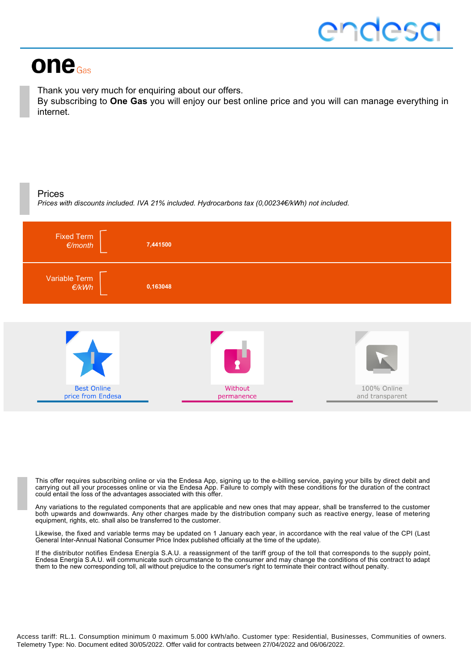# one<sub>Gas</sub>

Thank you very much for enquiring about our offers.

By subscribing to **One Gas** you will enjoy our best online price and you will can manage everything in internet.

### Prices

*Prices with discounts included. IVA 21% included. Hydrocarbons tax (0,00234€/kWh) not included.*



This offer requires subscribing online or via the Endesa App, signing up to the e-billing service, paying your bills by direct debit and carrying out all your processes online or via the Endesa App. Failure to comply with these conditions for the duration of the contract could entail the loss of the advantages associated with this offer.

Any variations to the regulated components that are applicable and new ones that may appear, shall be transferred to the customer both upwards and downwards. Any other charges made by the distribution company such as reactive energy, lease of metering equipment, rights, etc. shall also be transferred to the customer.

Likewise, the fixed and variable terms may be updated on 1 January each year, in accordance with the real value of the CPI (Last General Inter-Annual National Consumer Price Index published officially at the time of the update).

If the distributor notifies Endesa Energía S.A.U. a reassignment of the tariff group of the toll that corresponds to the supply point, Endesa Energía S.A.U. will communicate such circumstance to the consumer and may change the conditions of this contract to adapt them to the new corresponding toll, all without prejudice to the consumer's right to terminate their contract without penalty.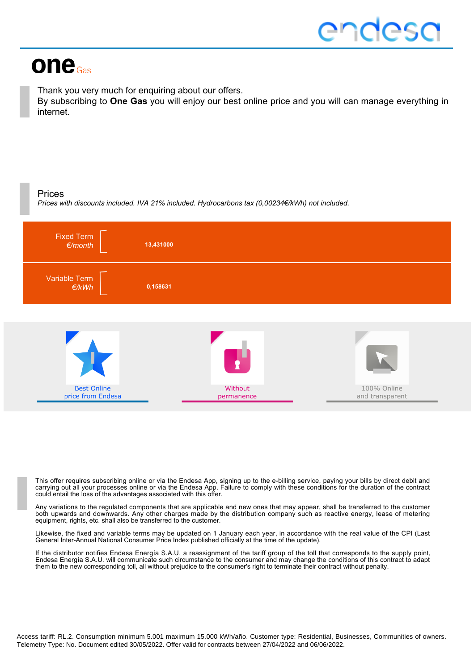# one<sub>Gas</sub>

Thank you very much for enquiring about our offers.

By subscribing to **One Gas** you will enjoy our best online price and you will can manage everything in internet.

### Prices

*Prices with discounts included. IVA 21% included. Hydrocarbons tax (0,00234€/kWh) not included.*



This offer requires subscribing online or via the Endesa App, signing up to the e-billing service, paying your bills by direct debit and carrying out all your processes online or via the Endesa App. Failure to comply with these conditions for the duration of the contract could entail the loss of the advantages associated with this offer.

Any variations to the regulated components that are applicable and new ones that may appear, shall be transferred to the customer both upwards and downwards. Any other charges made by the distribution company such as reactive energy, lease of metering equipment, rights, etc. shall also be transferred to the customer.

Likewise, the fixed and variable terms may be updated on 1 January each year, in accordance with the real value of the CPI (Last General Inter-Annual National Consumer Price Index published officially at the time of the update).

If the distributor notifies Endesa Energía S.A.U. a reassignment of the tariff group of the toll that corresponds to the supply point, Endesa Energía S.A.U. will communicate such circumstance to the consumer and may change the conditions of this contract to adapt them to the new corresponding toll, all without prejudice to the consumer's right to terminate their contract without penalty.